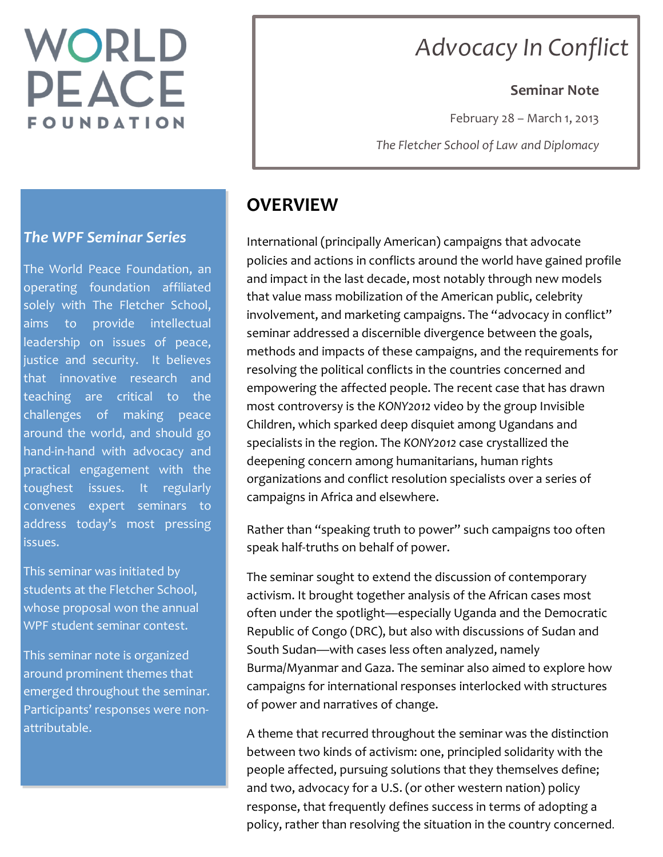# WORLD **PEACE** FOUNDATION

## *Advocacy In Conflict*

#### **Seminar Note**

February  $28 -$  March 1, 2013

*The Fletcher School of Law and Diplomacy*

## **OVERVIEW**

International (principally American) campaigns that advocate policies and actions in conflicts around the world have gained profile and impact in the last decade, most notably through new models that value mass mobilization of the American public, celebrity involvement, and marketing campaigns. The "advocacy in conflict" seminar addressed a discernible divergence between the goals, methods and impacts of these campaigns, and the requirements for resolving the political conflicts in the countries concerned and empowering the affected people. The recent case that has drawn most controversy is the *KONY2012* video by the group Invisible Children, which sparked deep disquiet among Ugandans and specialists in the region. The *KONY2012* case crystallized the deepening concern among humanitarians, human rights organizations and conflict resolution specialists over a series of campaigns in Africa and elsewhere.

Rather than "speaking truth to power" such campaigns too often speak half-truths on behalf of power.

The seminar sought to extend the discussion of contemporary activism. It brought together analysis of the African cases most often under the spotlight—especially Uganda and the Democratic Republic of Congo (DRC), but also with discussions of Sudan and South Sudan—with cases less often analyzed, namely Burma/Myanmar and Gaza. The seminar also aimed to explore how campaigns for international responses interlocked with structures of power and narratives of change.

A theme that recurred throughout the seminar was the distinction between two kinds of activism: one, principled solidarity with the people affected, pursuing solutions that they themselves define; and two, advocacy for a U.S. (or other western nation) policy response, that frequently defines success in terms of adopting a policy, rather than resolving the situation in the country concerned.

#### *The WPF Seminar Series*

The World Peace Foundation, an operating foundation affiliated solely with The Fletcher School, aims to provide intellectual leadership on issues of peace, justice and security. It believes that innovative research and teaching are critical to the challenges of making peace around the world, and should go hand-in-hand with advocacy and practical engagement with the toughest issues. It regularly convenes expert seminars to address today's most pressing issues. 

This seminar was initiated by students at the Fletcher School, whose proposal won the annual WPF student seminar contest.

This seminar note is organized around prominent themes that emerged throughout the seminar. Participants' responses were nonattributable.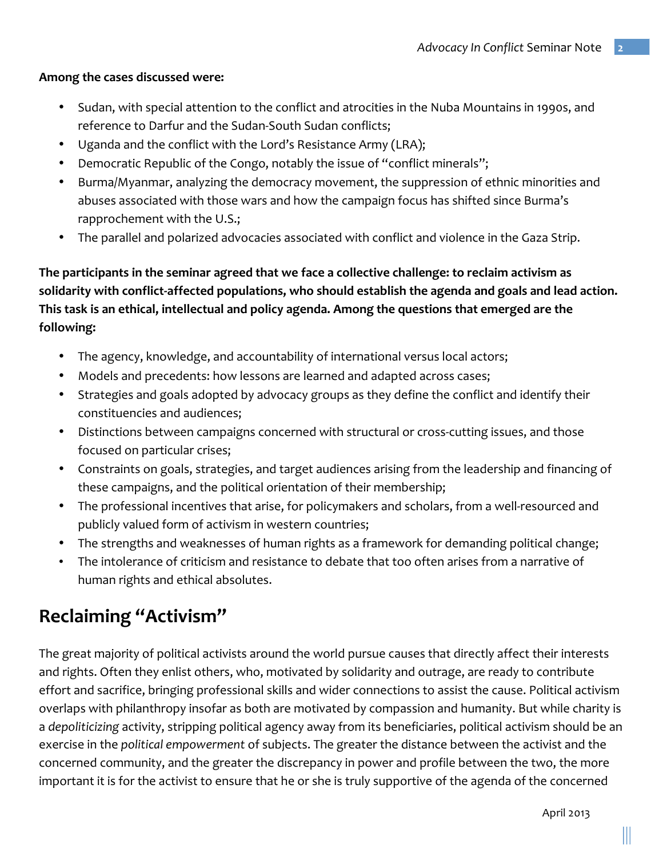#### Among the cases discussed were:

- Sudan, with special attention to the conflict and atrocities in the Nuba Mountains in 1990s, and reference to Darfur and the Sudan-South Sudan conflicts;
- Uganda and the conflict with the Lord's Resistance Army (LRA);
- Democratic Republic of the Congo, notably the issue of "conflict minerals";
- Burma/Myanmar, analyzing the democracy movement, the suppression of ethnic minorities and abuses associated with those wars and how the campaign focus has shifted since Burma's rapprochement with the U.S.;
- The parallel and polarized advocacies associated with conflict and violence in the Gaza Strip.

The participants in the seminar agreed that we face a collective challenge: to reclaim activism as solidarity with conflict-affected populations, who should establish the agenda and goals and lead action. This task is an ethical, intellectual and policy agenda. Among the questions that emerged are the **following:**

- The agency, knowledge, and accountability of international versus local actors;
- Models and precedents: how lessons are learned and adapted across cases;
- Strategies and goals adopted by advocacy groups as they define the conflict and identify their constituencies and audiences;
- Distinctions between campaigns concerned with structural or cross-cutting issues, and those focused on particular crises;
- Constraints on goals, strategies, and target audiences arising from the leadership and financing of these campaigns, and the political orientation of their membership;
- The professional incentives that arise, for policymakers and scholars, from a well-resourced and publicly valued form of activism in western countries;
- The strengths and weaknesses of human rights as a framework for demanding political change;
- The intolerance of criticism and resistance to debate that too often arises from a narrative of human rights and ethical absolutes.

## **Reclaiming "Activism"**

The great majority of political activists around the world pursue causes that directly affect their interests and rights. Often they enlist others, who, motivated by solidarity and outrage, are ready to contribute effort and sacrifice, bringing professional skills and wider connections to assist the cause. Political activism overlaps with philanthropy insofar as both are motivated by compassion and humanity. But while charity is a *depoliticizing* activity, stripping political agency away from its beneficiaries, political activism should be an exercise in the *political empowerment* of subjects. The greater the distance between the activist and the concerned community, and the greater the discrepancy in power and profile between the two, the more important it is for the activist to ensure that he or she is truly supportive of the agenda of the concerned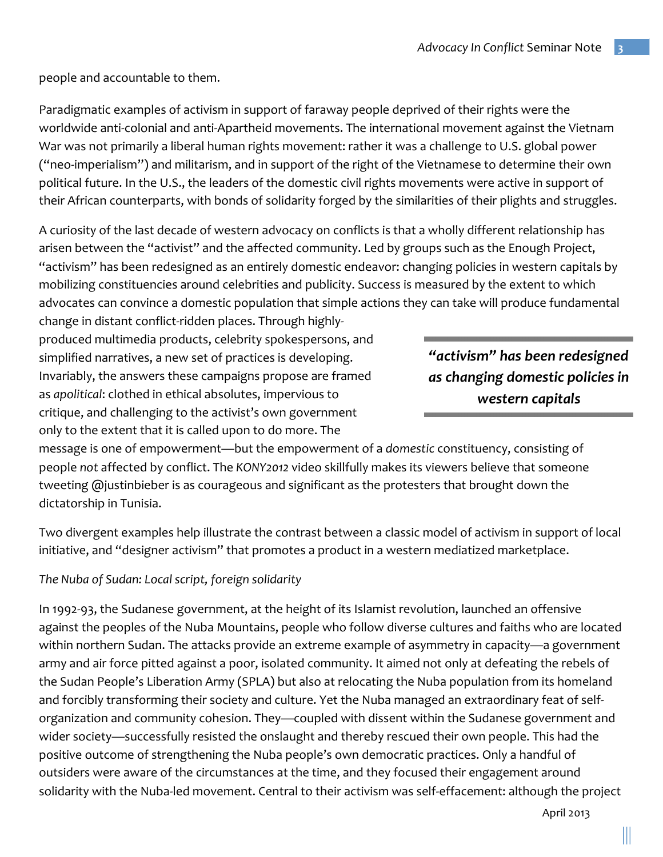people and accountable to them.

Paradigmatic examples of activism in support of faraway people deprived of their rights were the worldwide anti-colonial and anti-Apartheid movements. The international movement against the Vietnam War was not primarily a liberal human rights movement: rather it was a challenge to U.S. global power ("neo-imperialism") and militarism, and in support of the right of the Vietnamese to determine their own political future. In the U.S., the leaders of the domestic civil rights movements were active in support of their African counterparts, with bonds of solidarity forged by the similarities of their plights and struggles.

A curiosity of the last decade of western advocacy on conflicts is that a wholly different relationship has arisen between the "activist" and the affected community. Led by groups such as the Enough Project, "activism" has been redesigned as an entirely domestic endeavor: changing policies in western capitals by mobilizing constituencies around celebrities and publicity. Success is measured by the extent to which advocates can convince a domestic population that simple actions they can take will produce fundamental

change in distant conflict-ridden places. Through highlyproduced multimedia products, celebrity spokespersons, and simplified narratives, a new set of practices is developing. Invariably, the answers these campaigns propose are framed as *apolitical*: clothed in ethical absolutes, impervious to critique, and challenging to the activist's own government only to the extent that it is called upon to do more. The

*"activism" has been redesigned as changing domestic policies in western capitals* 

message is one of empowerment—but the empowerment of a domestic constituency, consisting of people not affected by conflict. The *KONY2012* video skillfully makes its viewers believe that someone tweeting  $\omega$  justinbieber is as courageous and significant as the protesters that brought down the dictatorship in Tunisia.

Two divergent examples help illustrate the contrast between a classic model of activism in support of local initiative, and "designer activism" that promotes a product in a western mediatized marketplace.

#### The Nuba of Sudan: Local script, foreign solidarity

In 1992-93, the Sudanese government, at the height of its Islamist revolution, launched an offensive against the peoples of the Nuba Mountains, people who follow diverse cultures and faiths who are located within northern Sudan. The attacks provide an extreme example of asymmetry in capacity—a government army and air force pitted against a poor, isolated community. It aimed not only at defeating the rebels of the Sudan People's Liberation Army (SPLA) but also at relocating the Nuba population from its homeland and forcibly transforming their society and culture. Yet the Nuba managed an extraordinary feat of selforganization and community cohesion. They—coupled with dissent within the Sudanese government and wider society—successfully resisted the onslaught and thereby rescued their own people. This had the positive outcome of strengthening the Nuba people's own democratic practices. Only a handful of outsiders were aware of the circumstances at the time, and they focused their engagement around solidarity with the Nuba-led movement. Central to their activism was self-effacement: although the project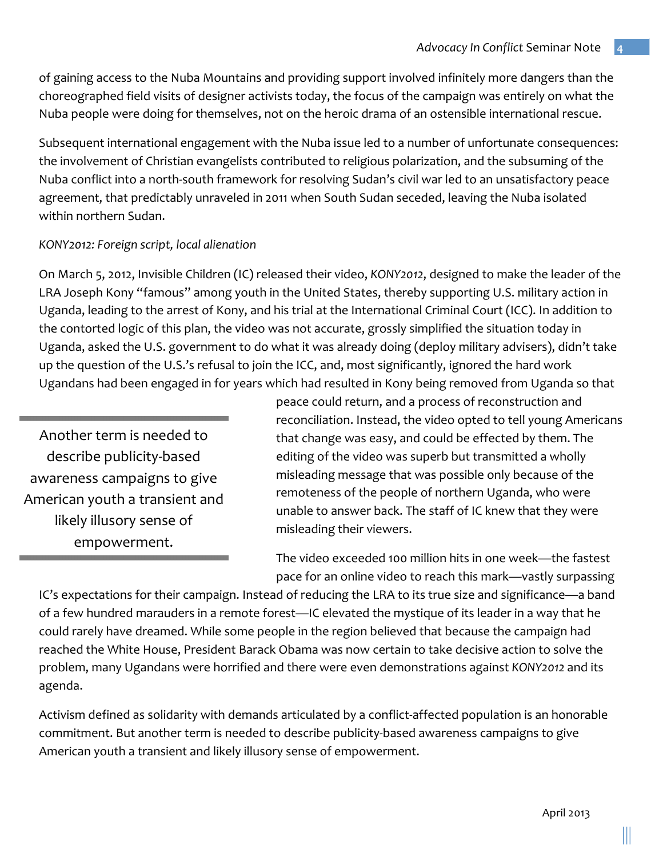of gaining access to the Nuba Mountains and providing support involved infinitely more dangers than the choreographed field visits of designer activists today, the focus of the campaign was entirely on what the Nuba people were doing for themselves, not on the heroic drama of an ostensible international rescue.

Subsequent international engagement with the Nuba issue led to a number of unfortunate consequences: the involvement of Christian evangelists contributed to religious polarization, and the subsuming of the Nuba conflict into a north-south framework for resolving Sudan's civil war led to an unsatisfactory peace agreement, that predictably unraveled in 2011 when South Sudan seceded, leaving the Nuba isolated within northern Sudan.

#### *KONY2012: Foreign script, local alienation*

On March 5, 2012, Invisible Children (IC) released their video, *KONY2012*, designed to make the leader of the LRA Joseph Kony "famous" among youth in the United States, thereby supporting U.S. military action in Uganda, leading to the arrest of Kony, and his trial at the International Criminal Court (ICC). In addition to the contorted logic of this plan, the video was not accurate, grossly simplified the situation today in Uganda, asked the U.S. government to do what it was already doing (deploy military advisers), didn't take up the question of the U.S.'s refusal to join the ICC, and, most significantly, ignored the hard work Ugandans had been engaged in for years which had resulted in Kony being removed from Uganda so that

Another term is needed to describe publicity-based awareness campaigns to give American youth a transient and likely illusory sense of empowerment.

peace could return, and a process of reconstruction and reconciliation. Instead, the video opted to tell young Americans that change was easy, and could be effected by them. The editing of the video was superb but transmitted a wholly misleading message that was possible only because of the remoteness of the people of northern Uganda, who were unable to answer back. The staff of IC knew that they were misleading their viewers.

The video exceeded 100 million hits in one week—the fastest pace for an online video to reach this mark—vastly surpassing

IC's expectations for their campaign. Instead of reducing the LRA to its true size and significance—a band of a few hundred marauders in a remote forest—IC elevated the mystique of its leader in a way that he could rarely have dreamed. While some people in the region believed that because the campaign had reached the White House, President Barack Obama was now certain to take decisive action to solve the problem, many Ugandans were horrified and there were even demonstrations against *KONY2012* and its agenda.

Activism defined as solidarity with demands articulated by a conflict-affected population is an honorable commitment. But another term is needed to describe publicity-based awareness campaigns to give American youth a transient and likely illusory sense of empowerment.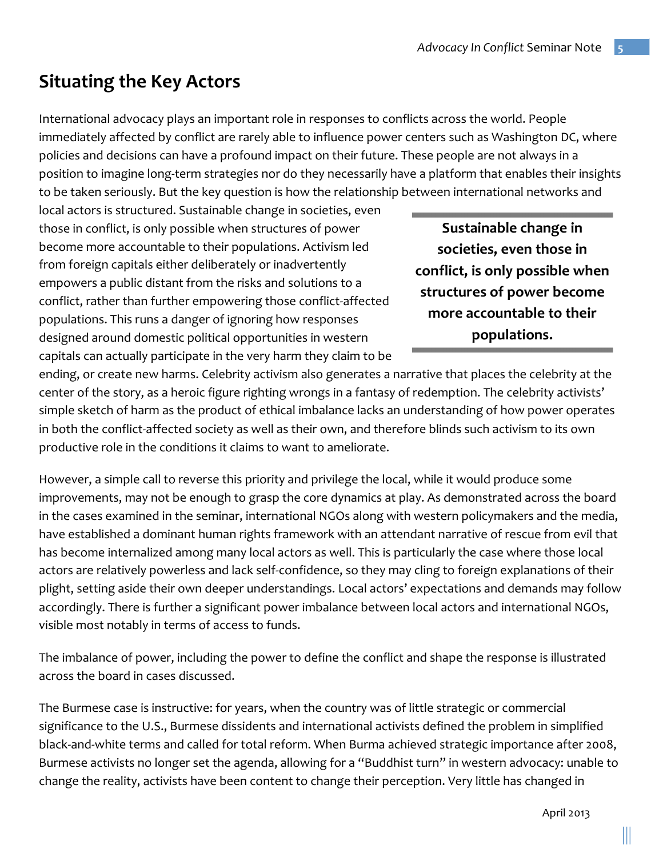## **Situating the Key Actors**

International advocacy plays an important role in responses to conflicts across the world. People immediately affected by conflict are rarely able to influence power centers such as Washington DC, where policies and decisions can have a profound impact on their future. These people are not always in a position to imagine long-term strategies nor do they necessarily have a platform that enables their insights to be taken seriously. But the key question is how the relationship between international networks and

local actors is structured. Sustainable change in societies, even those in conflict, is only possible when structures of power become more accountable to their populations. Activism led from foreign capitals either deliberately or inadvertently empowers a public distant from the risks and solutions to a conflict, rather than further empowering those conflict-affected populations. This runs a danger of ignoring how responses designed around domestic political opportunities in western capitals can actually participate in the very harm they claim to be

**Sustainable change in** societies, even those in conflict, is only possible when **structures of power become more accountable to their populations.**

ending, or create new harms. Celebrity activism also generates a narrative that places the celebrity at the center of the story, as a heroic figure righting wrongs in a fantasy of redemption. The celebrity activists' simple sketch of harm as the product of ethical imbalance lacks an understanding of how power operates in both the conflict-affected society as well as their own, and therefore blinds such activism to its own productive role in the conditions it claims to want to ameliorate.

However, a simple call to reverse this priority and privilege the local, while it would produce some improvements, may not be enough to grasp the core dynamics at play. As demonstrated across the board in the cases examined in the seminar, international NGOs along with western policymakers and the media, have established a dominant human rights framework with an attendant narrative of rescue from evil that has become internalized among many local actors as well. This is particularly the case where those local actors are relatively powerless and lack self-confidence, so they may cling to foreign explanations of their plight, setting aside their own deeper understandings. Local actors' expectations and demands may follow accordingly. There is further a significant power imbalance between local actors and international NGOs, visible most notably in terms of access to funds.

The imbalance of power, including the power to define the conflict and shape the response is illustrated across the board in cases discussed.

The Burmese case is instructive: for years, when the country was of little strategic or commercial significance to the U.S., Burmese dissidents and international activists defined the problem in simplified black-and-white terms and called for total reform. When Burma achieved strategic importance after 2008, Burmese activists no longer set the agenda, allowing for a "Buddhist turn" in western advocacy: unable to change the reality, activists have been content to change their perception. Very little has changed in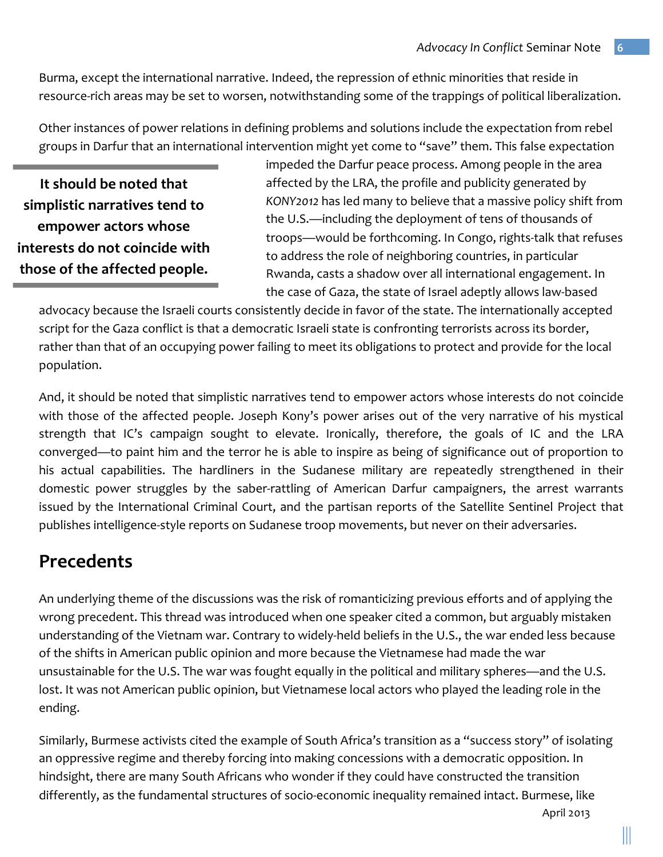Burma, except the international narrative. Indeed, the repression of ethnic minorities that reside in resource-rich areas may be set to worsen, notwithstanding some of the trappings of political liberalization.

Other instances of power relations in defining problems and solutions include the expectation from rebel groups in Darfur that an international intervention might yet come to "save" them. This false expectation

**It should be noted that** simplistic narratives tend to **empower actors whose interests do not coincide with those of the affected people.** 

impeded the Darfur peace process. Among people in the area affected by the LRA, the profile and publicity generated by *KONY2012* has led many to believe that a massive policy shift from the U.S.—including the deployment of tens of thousands of troops—would be forthcoming. In Congo, rights-talk that refuses to address the role of neighboring countries, in particular Rwanda, casts a shadow over all international engagement. In the case of Gaza, the state of Israel adeptly allows law-based

advocacy because the Israeli courts consistently decide in favor of the state. The internationally accepted script for the Gaza conflict is that a democratic Israeli state is confronting terrorists across its border, rather than that of an occupying power failing to meet its obligations to protect and provide for the local population. 

And, it should be noted that simplistic narratives tend to empower actors whose interests do not coincide with those of the affected people. Joseph Kony's power arises out of the very narrative of his mystical strength that IC's campaign sought to elevate. Ironically, therefore, the goals of IC and the LRA converged—to paint him and the terror he is able to inspire as being of significance out of proportion to his actual capabilities. The hardliners in the Sudanese military are repeatedly strengthened in their domestic power struggles by the saber-rattling of American Darfur campaigners, the arrest warrants issued by the International Criminal Court, and the partisan reports of the Satellite Sentinel Project that publishes intelligence-style reports on Sudanese troop movements, but never on their adversaries.

### **Precedents**

An underlying theme of the discussions was the risk of romanticizing previous efforts and of applying the wrong precedent. This thread was introduced when one speaker cited a common, but arguably mistaken understanding of the Vietnam war. Contrary to widely-held beliefs in the U.S., the war ended less because of the shifts in American public opinion and more because the Vietnamese had made the war unsustainable for the U.S. The war was fought equally in the political and military spheres—and the U.S. lost. It was not American public opinion, but Vietnamese local actors who played the leading role in the ending. 

Similarly, Burmese activists cited the example of South Africa's transition as a "success story" of isolating an oppressive regime and thereby forcing into making concessions with a democratic opposition. In hindsight, there are many South Africans who wonder if they could have constructed the transition differently, as the fundamental structures of socio-economic inequality remained intact. Burmese, like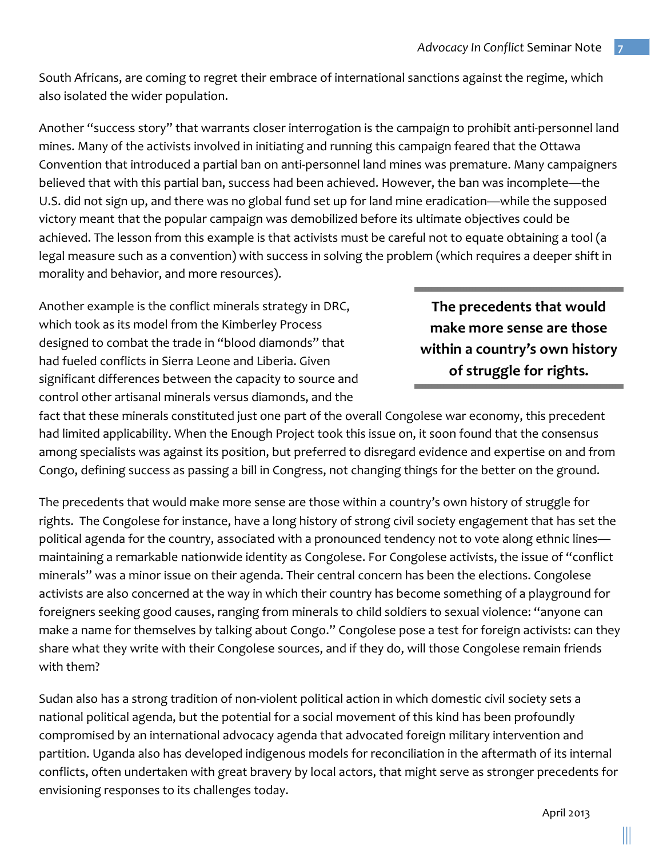South Africans, are coming to regret their embrace of international sanctions against the regime, which also isolated the wider population.

Another "success story" that warrants closer interrogation is the campaign to prohibit anti-personnel land mines. Many of the activists involved in initiating and running this campaign feared that the Ottawa Convention that introduced a partial ban on anti-personnel land mines was premature. Many campaigners believed that with this partial ban, success had been achieved. However, the ban was incomplete—the U.S. did not sign up, and there was no global fund set up for land mine eradication—while the supposed victory meant that the popular campaign was demobilized before its ultimate objectives could be achieved. The lesson from this example is that activists must be careful not to equate obtaining a tool (a legal measure such as a convention) with success in solving the problem (which requires a deeper shift in morality and behavior, and more resources).

Another example is the conflict minerals strategy in DRC, which took as its model from the Kimberley Process designed to combat the trade in "blood diamonds" that had fueled conflicts in Sierra Leone and Liberia. Given significant differences between the capacity to source and control other artisanal minerals versus diamonds, and the

**The precedents that would make more sense are those within a country's own history** of struggle for rights.

fact that these minerals constituted just one part of the overall Congolese war economy, this precedent had limited applicability. When the Enough Project took this issue on, it soon found that the consensus among specialists was against its position, but preferred to disregard evidence and expertise on and from Congo, defining success as passing a bill in Congress, not changing things for the better on the ground.

The precedents that would make more sense are those within a country's own history of struggle for rights. The Congolese for instance, have a long history of strong civil society engagement that has set the political agenda for the country, associated with a pronounced tendency not to vote along ethnic lines maintaining a remarkable nationwide identity as Congolese. For Congolese activists, the issue of "conflict minerals" was a minor issue on their agenda. Their central concern has been the elections. Congolese activists are also concerned at the way in which their country has become something of a playground for foreigners seeking good causes, ranging from minerals to child soldiers to sexual violence: "anyone can make a name for themselves by talking about Congo." Congolese pose a test for foreign activists: can they share what they write with their Congolese sources, and if they do, will those Congolese remain friends with them?

Sudan also has a strong tradition of non-violent political action in which domestic civil society sets a national political agenda, but the potential for a social movement of this kind has been profoundly compromised by an international advocacy agenda that advocated foreign military intervention and partition. Uganda also has developed indigenous models for reconciliation in the aftermath of its internal conflicts, often undertaken with great bravery by local actors, that might serve as stronger precedents for envisioning responses to its challenges today.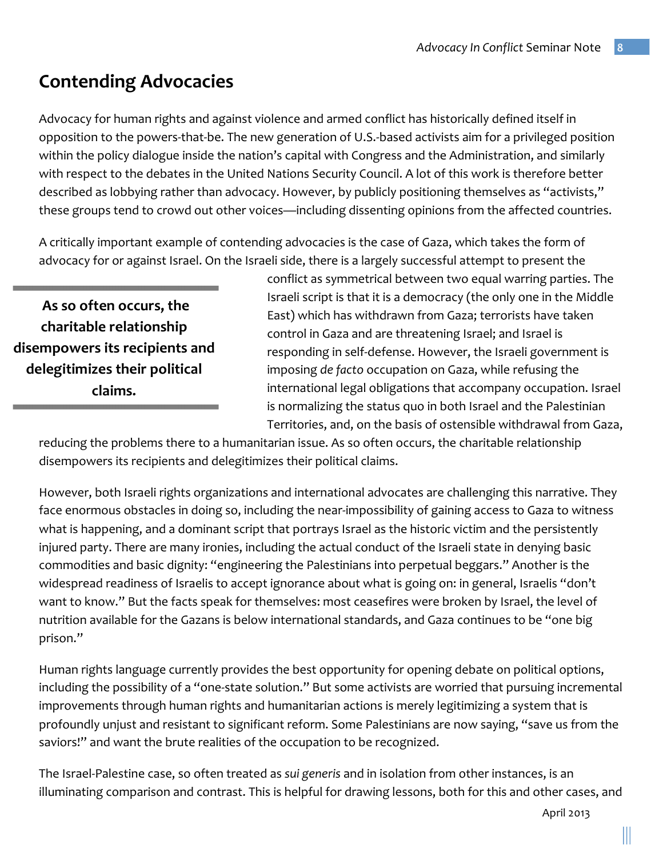## **Contending Advocacies**

Advocacy for human rights and against violence and armed conflict has historically defined itself in opposition to the powers-that-be. The new generation of U.S.-based activists aim for a privileged position within the policy dialogue inside the nation's capital with Congress and the Administration, and similarly with respect to the debates in the United Nations Security Council. A lot of this work is therefore better described as lobbying rather than advocacy. However, by publicly positioning themselves as "activists," these groups tend to crowd out other voices—including dissenting opinions from the affected countries.

A critically important example of contending advocacies is the case of Gaza, which takes the form of advocacy for or against Israel. On the Israeli side, there is a largely successful attempt to present the

As so often occurs, the **charitable relationship**  disempowers its recipients and delegitimizes their political **claims.**

conflict as symmetrical between two equal warring parties. The Israeli script is that it is a democracy (the only one in the Middle East) which has withdrawn from Gaza; terrorists have taken control in Gaza and are threatening Israel; and Israel is responding in self-defense. However, the Israeli government is imposing de facto occupation on Gaza, while refusing the international legal obligations that accompany occupation. Israel is normalizing the status quo in both Israel and the Palestinian Territories, and, on the basis of ostensible withdrawal from Gaza,

reducing the problems there to a humanitarian issue. As so often occurs, the charitable relationship disempowers its recipients and delegitimizes their political claims.

However, both Israeli rights organizations and international advocates are challenging this narrative. They face enormous obstacles in doing so, including the near-impossibility of gaining access to Gaza to witness what is happening, and a dominant script that portrays Israel as the historic victim and the persistently injured party. There are many ironies, including the actual conduct of the Israeli state in denying basic commodities and basic dignity: "engineering the Palestinians into perpetual beggars." Another is the widespread readiness of Israelis to accept ignorance about what is going on: in general, Israelis "don't want to know." But the facts speak for themselves: most ceasefires were broken by Israel, the level of nutrition available for the Gazans is below international standards, and Gaza continues to be "one big prison."

Human rights language currently provides the best opportunity for opening debate on political options, including the possibility of a "one-state solution." But some activists are worried that pursuing incremental improvements through human rights and humanitarian actions is merely legitimizing a system that is profoundly unjust and resistant to significant reform. Some Palestinians are now saying, "save us from the saviors!" and want the brute realities of the occupation to be recognized.

The Israel-Palestine case, so often treated as *sui generis* and in isolation from other instances, is an illuminating comparison and contrast. This is helpful for drawing lessons, both for this and other cases, and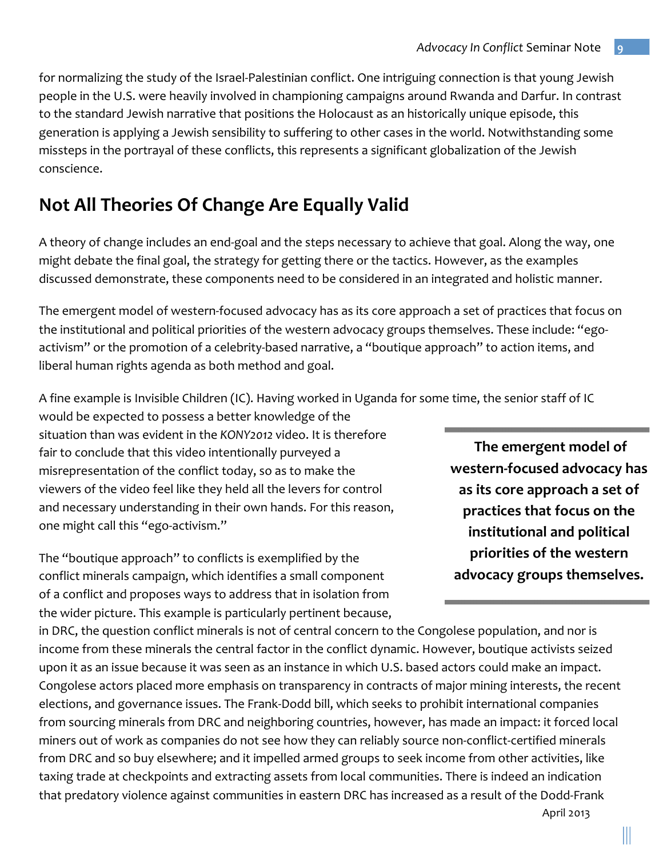for normalizing the study of the Israel-Palestinian conflict. One intriguing connection is that young Jewish people in the U.S. were heavily involved in championing campaigns around Rwanda and Darfur. In contrast to the standard Jewish narrative that positions the Holocaust as an historically unique episode, this generation is applying a Jewish sensibility to suffering to other cases in the world. Notwithstanding some missteps in the portrayal of these conflicts, this represents a significant globalization of the Jewish conscience.

## **Not All Theories Of Change Are Equally Valid**

A theory of change includes an end-goal and the steps necessary to achieve that goal. Along the way, one might debate the final goal, the strategy for getting there or the tactics. However, as the examples discussed demonstrate, these components need to be considered in an integrated and holistic manner.

The emergent model of western-focused advocacy has as its core approach a set of practices that focus on the institutional and political priorities of the western advocacy groups themselves. These include: "egoactivism" or the promotion of a celebrity-based narrative, a "boutique approach" to action items, and liberal human rights agenda as both method and goal.

A fine example is Invisible Children (IC). Having worked in Uganda for some time, the senior staff of IC

would be expected to possess a better knowledge of the situation than was evident in the *KONY2012* video. It is therefore fair to conclude that this video intentionally purveyed a misrepresentation of the conflict today, so as to make the viewers of the video feel like they held all the levers for control and necessary understanding in their own hands. For this reason, one might call this "ego-activism."

The "boutique approach" to conflicts is exemplified by the conflict minerals campaign, which identifies a small component of a conflict and proposes ways to address that in isolation from the wider picture. This example is particularly pertinent because,

in DRC, the question conflict minerals is not of central concern to the Congolese population, and nor is income from these minerals the central factor in the conflict dynamic. However, boutique activists seized upon it as an issue because it was seen as an instance in which U.S. based actors could make an impact. Congolese actors placed more emphasis on transparency in contracts of major mining interests, the recent elections, and governance issues. The Frank-Dodd bill, which seeks to prohibit international companies from sourcing minerals from DRC and neighboring countries, however, has made an impact: it forced local miners out of work as companies do not see how they can reliably source non-conflict-certified minerals from DRC and so buy elsewhere; and it impelled armed groups to seek income from other activities, like taxing trade at checkpoints and extracting assets from local communities. There is indeed an indication that predatory violence against communities in eastern DRC has increased as a result of the Dodd-Frank

The emergent model of **western-focused advocacy has**  as its core approach a set of practices that focus on the **institutional and political priorities of the western advocacy groups themselves.**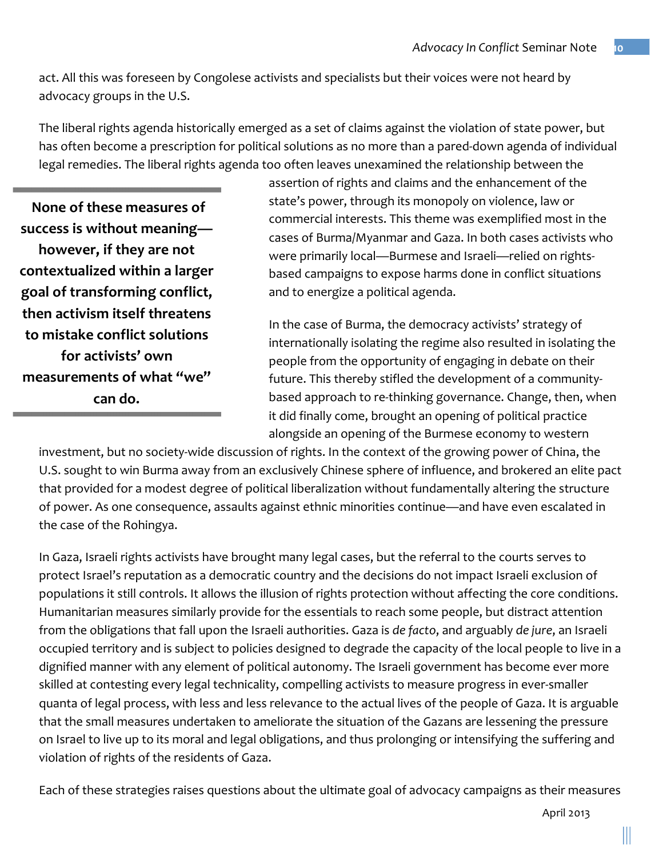act. All this was foreseen by Congolese activists and specialists but their voices were not heard by advocacy groups in the U.S.

The liberal rights agenda historically emerged as a set of claims against the violation of state power, but has often become a prescription for political solutions as no more than a pared-down agenda of individual legal remedies. The liberal rights agenda too often leaves unexamined the relationship between the

**None of these measures of** success is without meaning**however, if they are not contextualized within a larger**  goal of transforming conflict, **then activism itself threatens to mistake conflict solutions**  for activists' own measurements of what "we" **can do.** 

assertion of rights and claims and the enhancement of the state's power, through its monopoly on violence, law or commercial interests. This theme was exemplified most in the cases of Burma/Myanmar and Gaza. In both cases activists who were primarily local—Burmese and Israeli—relied on rightsbased campaigns to expose harms done in conflict situations and to energize a political agenda.

In the case of Burma, the democracy activists' strategy of internationally isolating the regime also resulted in isolating the people from the opportunity of engaging in debate on their future. This thereby stifled the development of a communitybased approach to re-thinking governance. Change, then, when it did finally come, brought an opening of political practice alongside an opening of the Burmese economy to western

investment, but no society-wide discussion of rights. In the context of the growing power of China, the U.S. sought to win Burma away from an exclusively Chinese sphere of influence, and brokered an elite pact that provided for a modest degree of political liberalization without fundamentally altering the structure of power. As one consequence, assaults against ethnic minorities continue—and have even escalated in the case of the Rohingya.

In Gaza, Israeli rights activists have brought many legal cases, but the referral to the courts serves to protect Israel's reputation as a democratic country and the decisions do not impact Israeli exclusion of populations it still controls. It allows the illusion of rights protection without affecting the core conditions. Humanitarian measures similarly provide for the essentials to reach some people, but distract attention from the obligations that fall upon the Israeli authorities. Gaza is *de facto*, and arguably *de jure*, an Israeli occupied territory and is subject to policies designed to degrade the capacity of the local people to live in a dignified manner with any element of political autonomy. The Israeli government has become ever more skilled at contesting every legal technicality, compelling activists to measure progress in ever-smaller quanta of legal process, with less and less relevance to the actual lives of the people of Gaza. It is arguable that the small measures undertaken to ameliorate the situation of the Gazans are lessening the pressure on Israel to live up to its moral and legal obligations, and thus prolonging or intensifying the suffering and violation of rights of the residents of Gaza.

Each of these strategies raises questions about the ultimate goal of advocacy campaigns as their measures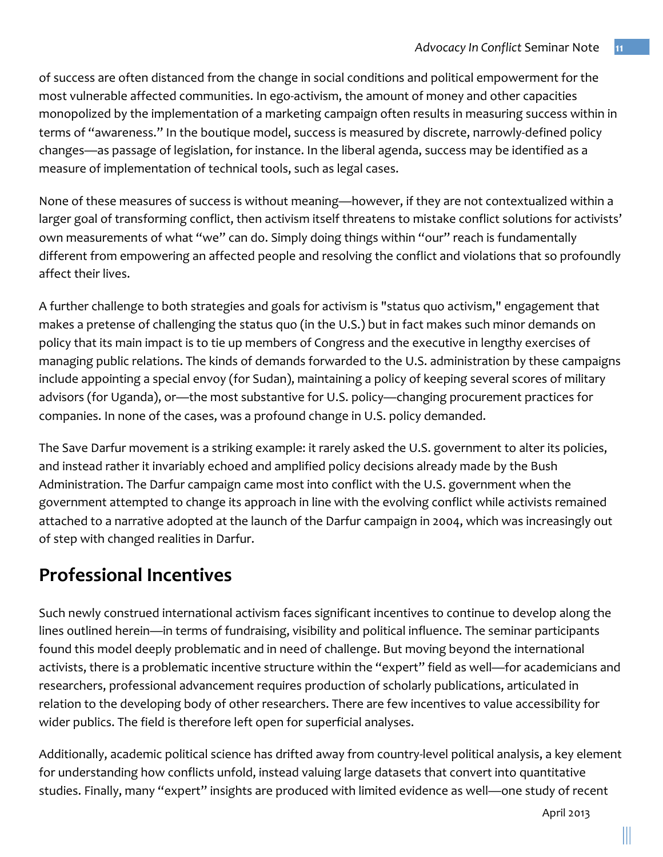of success are often distanced from the change in social conditions and political empowerment for the most vulnerable affected communities. In ego-activism, the amount of money and other capacities monopolized by the implementation of a marketing campaign often results in measuring success within in terms of "awareness." In the boutique model, success is measured by discrete, narrowly-defined policy changes—as passage of legislation, for instance. In the liberal agenda, success may be identified as a measure of implementation of technical tools, such as legal cases.

None of these measures of success is without meaning—however, if they are not contextualized within a larger goal of transforming conflict, then activism itself threatens to mistake conflict solutions for activists' own measurements of what "we" can do. Simply doing things within "our" reach is fundamentally different from empowering an affected people and resolving the conflict and violations that so profoundly affect their lives.

A further challenge to both strategies and goals for activism is "status quo activism," engagement that makes a pretense of challenging the status quo (in the U.S.) but in fact makes such minor demands on policy that its main impact is to tie up members of Congress and the executive in lengthy exercises of managing public relations. The kinds of demands forwarded to the U.S. administration by these campaigns include appointing a special envoy (for Sudan), maintaining a policy of keeping several scores of military advisors (for Uganda), or—the most substantive for U.S. policy—changing procurement practices for companies. In none of the cases, was a profound change in U.S. policy demanded.

The Save Darfur movement is a striking example: it rarely asked the U.S. government to alter its policies, and instead rather it invariably echoed and amplified policy decisions already made by the Bush Administration. The Darfur campaign came most into conflict with the U.S. government when the government attempted to change its approach in line with the evolving conflict while activists remained attached to a narrative adopted at the launch of the Darfur campaign in 2004, which was increasingly out of step with changed realities in Darfur.

## **Professional Incentives**

Such newly construed international activism faces significant incentives to continue to develop along the lines outlined herein—in terms of fundraising, visibility and political influence. The seminar participants found this model deeply problematic and in need of challenge. But moving beyond the international activists, there is a problematic incentive structure within the "expert" field as well—for academicians and researchers, professional advancement requires production of scholarly publications, articulated in relation to the developing body of other researchers. There are few incentives to value accessibility for wider publics. The field is therefore left open for superficial analyses.

Additionally, academic political science has drifted away from country-level political analysis, a key element for understanding how conflicts unfold, instead valuing large datasets that convert into quantitative studies. Finally, many "expert" insights are produced with limited evidence as well—one study of recent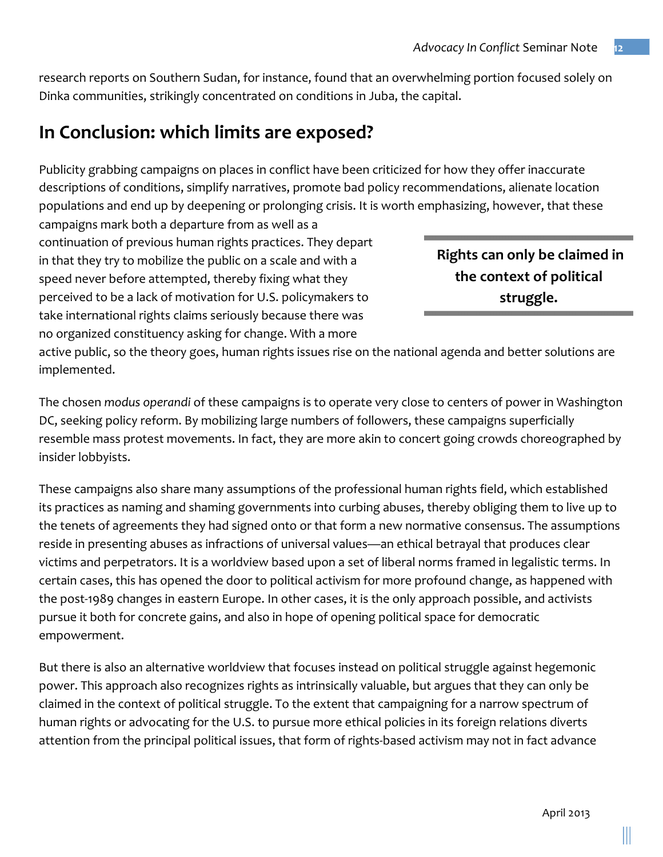research reports on Southern Sudan, for instance, found that an overwhelming portion focused solely on Dinka communities, strikingly concentrated on conditions in Juba, the capital.

### **In Conclusion: which limits are exposed?**

Publicity grabbing campaigns on places in conflict have been criticized for how they offer inaccurate descriptions of conditions, simplify narratives, promote bad policy recommendations, alienate location populations and end up by deepening or prolonging crisis. It is worth emphasizing, however, that these

campaigns mark both a departure from as well as a continuation of previous human rights practices. They depart in that they try to mobilize the public on a scale and with a speed never before attempted, thereby fixing what they perceived to be a lack of motivation for U.S. policymakers to take international rights claims seriously because there was no organized constituency asking for change. With a more

**Rights** can only be claimed in the context of political **struggle.** 

active public, so the theory goes, human rights issues rise on the national agenda and better solutions are implemented.

The chosen *modus* operandi of these campaigns is to operate very close to centers of power in Washington DC, seeking policy reform. By mobilizing large numbers of followers, these campaigns superficially resemble mass protest movements. In fact, they are more akin to concert going crowds choreographed by insider lobbyists.

These campaigns also share many assumptions of the professional human rights field, which established its practices as naming and shaming governments into curbing abuses, thereby obliging them to live up to the tenets of agreements they had signed onto or that form a new normative consensus. The assumptions reside in presenting abuses as infractions of universal values—an ethical betrayal that produces clear victims and perpetrators. It is a worldview based upon a set of liberal norms framed in legalistic terms. In certain cases, this has opened the door to political activism for more profound change, as happened with the post-1989 changes in eastern Europe. In other cases, it is the only approach possible, and activists pursue it both for concrete gains, and also in hope of opening political space for democratic empowerment. 

But there is also an alternative worldview that focuses instead on political struggle against hegemonic power. This approach also recognizes rights as intrinsically valuable, but argues that they can only be claimed in the context of political struggle. To the extent that campaigning for a narrow spectrum of human rights or advocating for the U.S. to pursue more ethical policies in its foreign relations diverts attention from the principal political issues, that form of rights-based activism may not in fact advance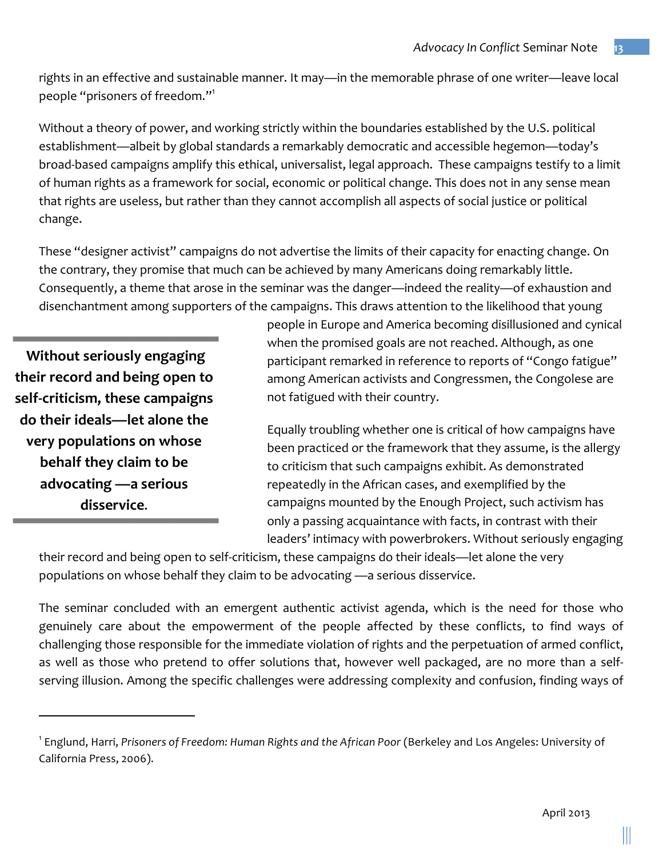rights in an effective and sustainable manner. It may—in the memorable phrase of one writer—leave local people "prisoners of freedom."<sup>1</sup>

Without a theory of power, and working strictly within the boundaries established by the U.S. political establishment—albeit by global standards a remarkably democratic and accessible hegemon—today's broad-based campaigns amplify this ethical, universalist, legal approach. These campaigns testify to a limit of human rights as a framework for social, economic or political change. This does not in any sense mean that rights are useless, but rather than they cannot accomplish all aspects of social justice or political change.

These "designer activist" campaigns do not advertise the limits of their capacity for enacting change. On the contrary, they promise that much can be achieved by many Americans doing remarkably little. Consequently, a theme that arose in the seminar was the danger—indeed the reality—of exhaustion and disenchantment among supporters of the campaigns. This draws attention to the likelihood that young

**Without seriously engaging their record and being open to self-criticism, these campaigns**  do their ideals—let alone the **very populations on whose behalf they claim to be** advocating — a serious disservice.

<u> 1989 - Johann Stein, markin film yn y breninn y breninn y breninn y breninn y breninn y breninn y breninn y b</u>

people in Europe and America becoming disillusioned and cynical when the promised goals are not reached. Although, as one participant remarked in reference to reports of "Congo fatigue" among American activists and Congressmen, the Congolese are not fatigued with their country.

Equally troubling whether one is critical of how campaigns have been practiced or the framework that they assume, is the allergy to criticism that such campaigns exhibit. As demonstrated repeatedly in the African cases, and exemplified by the campaigns mounted by the Enough Project, such activism has only a passing acquaintance with facts, in contrast with their leaders' intimacy with powerbrokers. Without seriously engaging

their record and being open to self-criticism, these campaigns do their ideals—let alone the very populations on whose behalf they claim to be advocating —a serious disservice.

The seminar concluded with an emergent authentic activist agenda, which is the need for those who genuinely care about the empowerment of the people affected by these conflicts, to find ways of challenging those responsible for the immediate violation of rights and the perpetuation of armed conflict, as well as those who pretend to offer solutions that, however well packaged, are no more than a selfserving illusion. Among the specific challenges were addressing complexity and confusion, finding ways of

<sup>&</sup>lt;sup>1</sup> Englund, Harri, Prisoners of Freedom: Human Rights and the African Poor (Berkeley and Los Angeles: University of California Press, 2006).